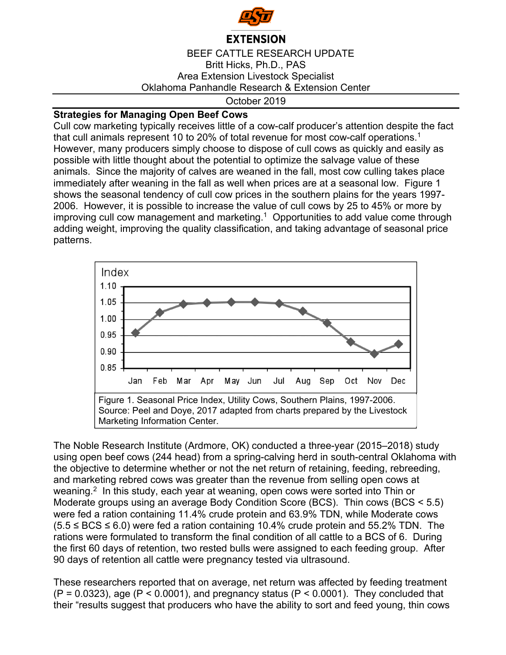

## **EXTENSION**

BEEF CATTLE RESEARCH UPDATE Britt Hicks, Ph.D., PAS Area Extension Livestock Specialist Oklahoma Panhandle Research & Extension Center

October 2019

## **Strategies for Managing Open Beef Cows**

Cull cow marketing typically receives little of a cow-calf producer's attention despite the fact that cull animals represent 10 to 20% of total revenue for most cow-calf operations.<sup>1</sup> However, many producers simply choose to dispose of cull cows as quickly and easily as possible with little thought about the potential to optimize the salvage value of these animals. Since the majority of calves are weaned in the fall, most cow culling takes place immediately after weaning in the fall as well when prices are at a seasonal low. Figure 1 shows the seasonal tendency of cull cow prices in the southern plains for the years 1997- 2006. However, it is possible to increase the value of cull cows by 25 to 45% or more by improving cull cow management and marketing.<sup>1</sup> Opportunities to add value come through adding weight, improving the quality classification, and taking advantage of seasonal price patterns.



The Noble Research Institute (Ardmore, OK) conducted a three-year (2015–2018) study using open beef cows (244 head) from a spring-calving herd in south-central Oklahoma with the objective to determine whether or not the net return of retaining, feeding, rebreeding, and marketing rebred cows was greater than the revenue from selling open cows at weaning.<sup>2</sup> In this study, each year at weaning, open cows were sorted into Thin or Moderate groups using an average Body Condition Score (BCS). Thin cows (BCS < 5.5) were fed a ration containing 11.4% crude protein and 63.9% TDN, while Moderate cows  $(5.5 \leq BCS \leq 6.0)$  were fed a ration containing 10.4% crude protein and 55.2% TDN. The rations were formulated to transform the final condition of all cattle to a BCS of 6. During the first 60 days of retention, two rested bulls were assigned to each feeding group. After 90 days of retention all cattle were pregnancy tested via ultrasound.

These researchers reported that on average, net return was affected by feeding treatment  $(P = 0.0323)$ , age  $(P < 0.0001)$ , and pregnancy status  $(P < 0.0001)$ . They concluded that their "results suggest that producers who have the ability to sort and feed young, thin cows